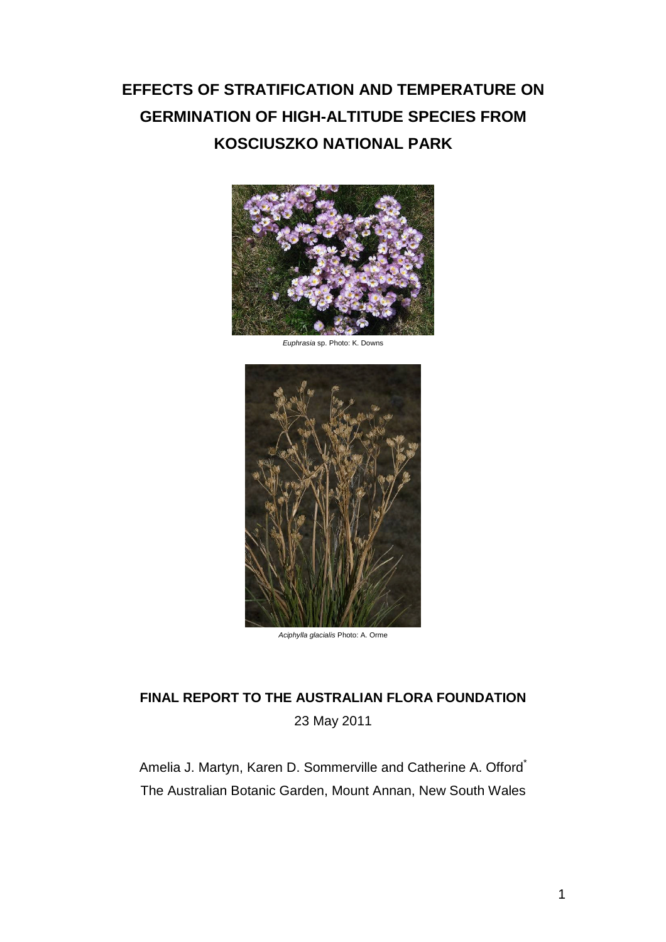# **EFFECTS OF STRATIFICATION AND TEMPERATURE ON GERMINATION OF HIGH-ALTITUDE SPECIES FROM KOSCIUSZKO NATIONAL PARK**



*Euphrasia* sp. Photo: K. Downs



*Aciphylla glacialis* Photo: A. Orme

# **FINAL REPORT TO THE AUSTRALIAN FLORA FOUNDATION** 23 May 2011

Amelia J. Martyn, Karen D. Sommerville and Catherine A. Offord<sup>\*</sup> The Australian Botanic Garden, Mount Annan, New South Wales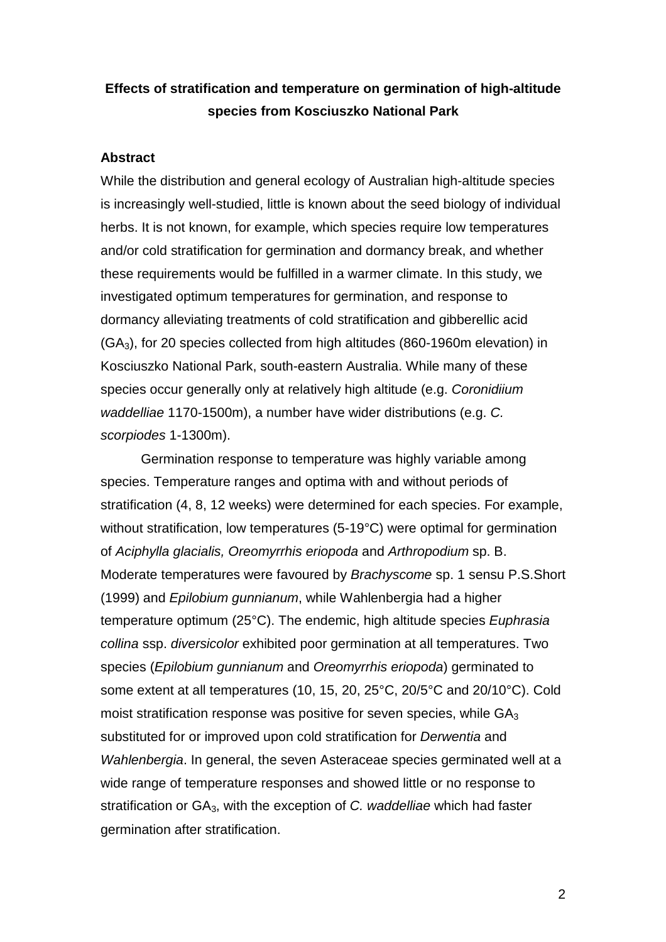# **Effects of stratification and temperature on germination of high-altitude species from Kosciuszko National Park**

### **Abstract**

While the distribution and general ecology of Australian high-altitude species is increasingly well-studied, little is known about the seed biology of individual herbs. It is not known, for example, which species require low temperatures and/or cold stratification for germination and dormancy break, and whether these requirements would be fulfilled in a warmer climate. In this study, we investigated optimum temperatures for germination, and response to dormancy alleviating treatments of cold stratification and gibberellic acid  $(GA<sub>3</sub>)$ , for 20 species collected from high altitudes (860-1960m elevation) in Kosciuszko National Park, south-eastern Australia. While many of these species occur generally only at relatively high altitude (e.g. *Coronidiium waddelliae* 1170-1500m), a number have wider distributions (e.g. *C. scorpiodes* 1-1300m).

Germination response to temperature was highly variable among species. Temperature ranges and optima with and without periods of stratification (4, 8, 12 weeks) were determined for each species. For example, without stratification, low temperatures (5-19°C) were optimal for germination of *Aciphylla glacialis, Oreomyrrhis eriopoda* and *Arthropodium* sp. B. Moderate temperatures were favoured by *Brachyscome* sp. 1 sensu P.S.Short (1999) and *Epilobium gunnianum*, while Wahlenbergia had a higher temperature optimum (25°C). The endemic, high altitude species *Euphrasia collina* ssp. *diversicolor* exhibited poor germination at all temperatures. Two species (*Epilobium gunnianum* and *Oreomyrrhis eriopoda*) germinated to some extent at all temperatures (10, 15, 20, 25°C, 20/5°C and 20/10°C). Cold moist stratification response was positive for seven species, while GA<sub>3</sub> substituted for or improved upon cold stratification for *Derwentia* and *Wahlenbergia*. In general, the seven Asteraceae species germinated well at a wide range of temperature responses and showed little or no response to stratification or GA3, with the exception of *C. waddelliae* which had faster germination after stratification.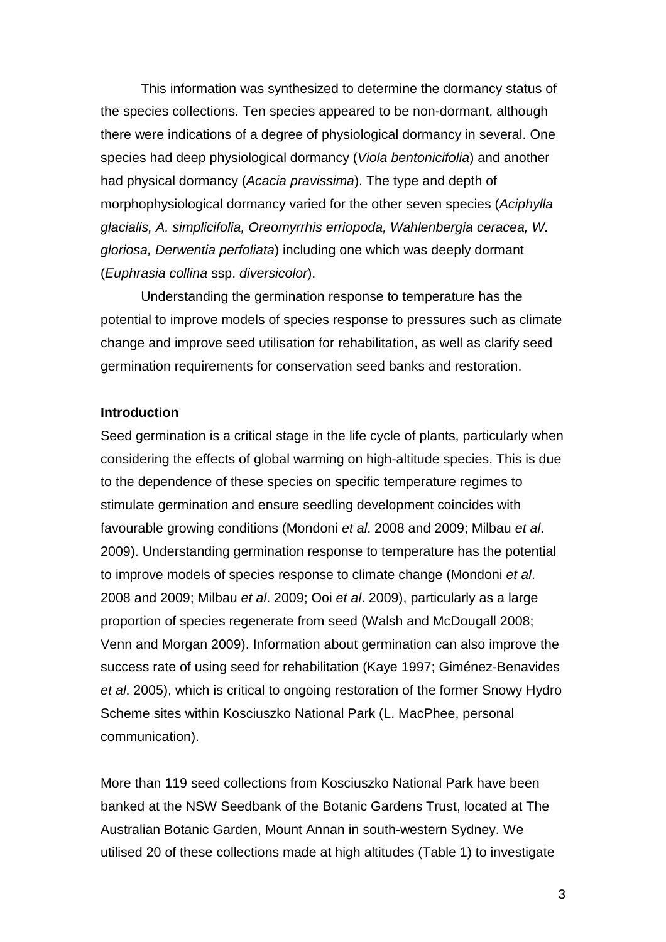This information was synthesized to determine the dormancy status of the species collections. Ten species appeared to be non-dormant, although there were indications of a degree of physiological dormancy in several. One species had deep physiological dormancy (*Viola bentonicifolia*) and another had physical dormancy (*Acacia pravissima*). The type and depth of morphophysiological dormancy varied for the other seven species (*Aciphylla glacialis, A. simplicifolia, Oreomyrrhis erriopoda, Wahlenbergia ceracea, W. gloriosa, Derwentia perfoliata*) including one which was deeply dormant (*Euphrasia collina* ssp. *diversicolor*).

Understanding the germination response to temperature has the potential to improve models of species response to pressures such as climate change and improve seed utilisation for rehabilitation, as well as clarify seed germination requirements for conservation seed banks and restoration.

#### **Introduction**

Seed germination is a critical stage in the life cycle of plants, particularly when considering the effects of global warming on high-altitude species. This is due to the dependence of these species on specific temperature regimes to stimulate germination and ensure seedling development coincides with favourable growing conditions (Mondoni *et al*. 2008 and 2009; Milbau *et al*. 2009). Understanding germination response to temperature has the potential to improve models of species response to climate change (Mondoni *et al*. 2008 and 2009; Milbau *et al*. 2009; Ooi *et al*. 2009), particularly as a large proportion of species regenerate from seed (Walsh and McDougall 2008; Venn and Morgan 2009). Information about germination can also improve the success rate of using seed for rehabilitation (Kaye 1997; Giménez-Benavides *et al*. 2005), which is critical to ongoing restoration of the former Snowy Hydro Scheme sites within Kosciuszko National Park (L. MacPhee, personal communication).

More than 119 seed collections from Kosciuszko National Park have been banked at the NSW Seedbank of the Botanic Gardens Trust, located at The Australian Botanic Garden, Mount Annan in south-western Sydney. We utilised 20 of these collections made at high altitudes (Table 1) to investigate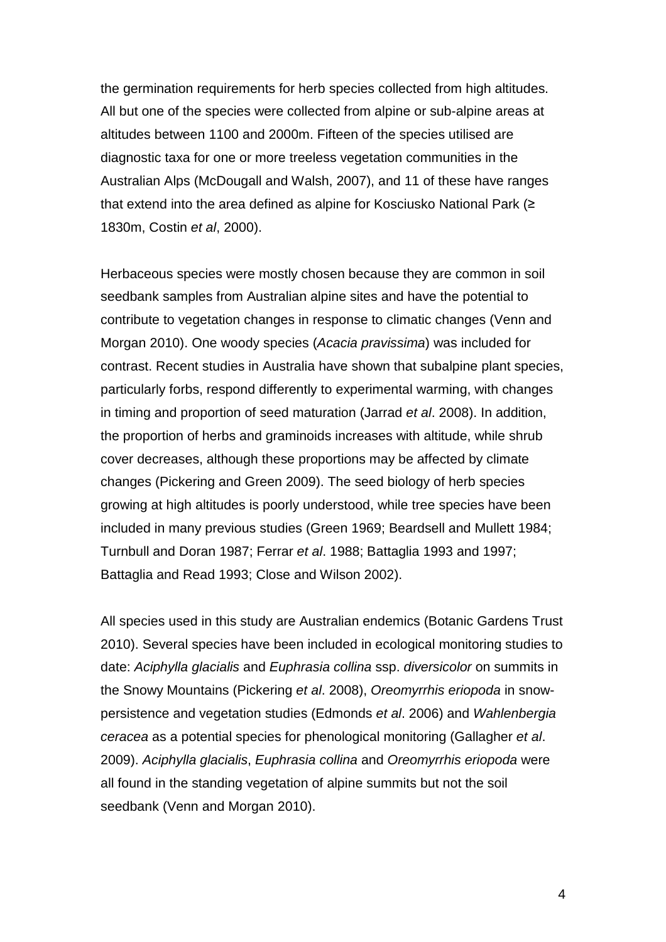the germination requirements for herb species collected from high altitudes. All but one of the species were collected from alpine or sub-alpine areas at altitudes between 1100 and 2000m. Fifteen of the species utilised are diagnostic taxa for one or more treeless vegetation communities in the Australian Alps (McDougall and Walsh, 2007), and 11 of these have ranges that extend into the area defined as alpine for Kosciusko National Park (≥ 1830m, Costin *et al*, 2000).

Herbaceous species were mostly chosen because they are common in soil seedbank samples from Australian alpine sites and have the potential to contribute to vegetation changes in response to climatic changes (Venn and Morgan 2010). One woody species (*Acacia pravissima*) was included for contrast. Recent studies in Australia have shown that subalpine plant species, particularly forbs, respond differently to experimental warming, with changes in timing and proportion of seed maturation (Jarrad *et al*. 2008). In addition, the proportion of herbs and graminoids increases with altitude, while shrub cover decreases, although these proportions may be affected by climate changes (Pickering and Green 2009). The seed biology of herb species growing at high altitudes is poorly understood, while tree species have been included in many previous studies (Green 1969; Beardsell and Mullett 1984; Turnbull and Doran 1987; Ferrar *et al*. 1988; Battaglia 1993 and 1997; Battaglia and Read 1993; Close and Wilson 2002).

All species used in this study are Australian endemics (Botanic Gardens Trust 2010). Several species have been included in ecological monitoring studies to date: *Aciphylla glacialis* and *Euphrasia collina* ssp. *diversicolor* on summits in the Snowy Mountains (Pickering *et al*. 2008), *Oreomyrrhis eriopoda* in snowpersistence and vegetation studies (Edmonds *et al*. 2006) and *Wahlenbergia ceracea* as a potential species for phenological monitoring (Gallagher *et al*. 2009). *Aciphylla glacialis*, *Euphrasia collina* and *Oreomyrrhis eriopoda* were all found in the standing vegetation of alpine summits but not the soil seedbank (Venn and Morgan 2010).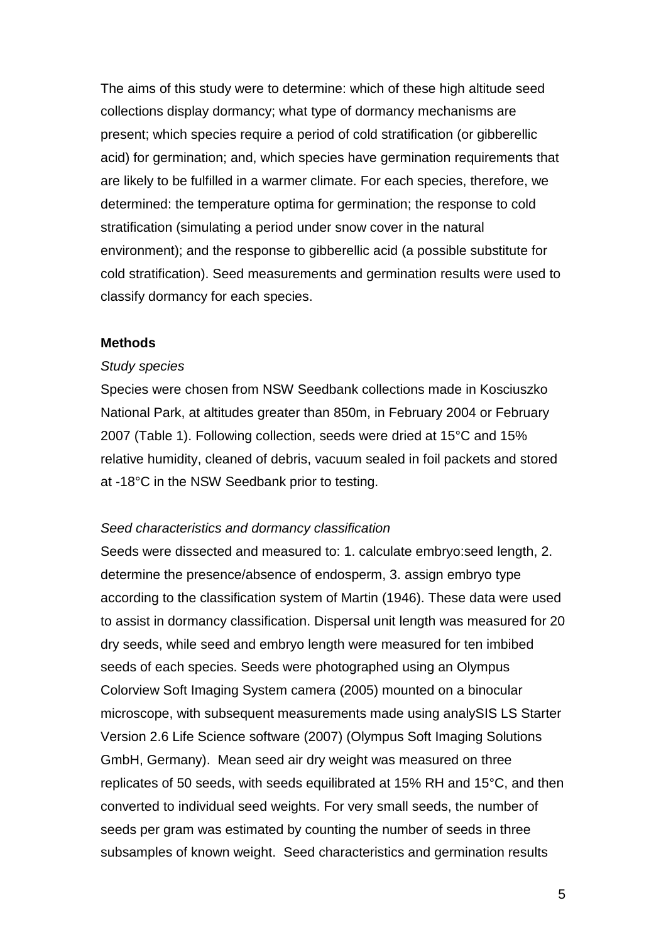The aims of this study were to determine: which of these high altitude seed collections display dormancy; what type of dormancy mechanisms are present; which species require a period of cold stratification (or gibberellic acid) for germination; and, which species have germination requirements that are likely to be fulfilled in a warmer climate. For each species, therefore, we determined: the temperature optima for germination; the response to cold stratification (simulating a period under snow cover in the natural environment); and the response to gibberellic acid (a possible substitute for cold stratification). Seed measurements and germination results were used to classify dormancy for each species.

### **Methods**

#### *Study species*

Species were chosen from NSW Seedbank collections made in Kosciuszko National Park, at altitudes greater than 850m, in February 2004 or February 2007 (Table 1). Following collection, seeds were dried at 15°C and 15% relative humidity, cleaned of debris, vacuum sealed in foil packets and stored at -18°C in the NSW Seedbank prior to testing.

#### *Seed characteristics and dormancy classification*

Seeds were dissected and measured to: 1. calculate embryo:seed length, 2. determine the presence/absence of endosperm, 3. assign embryo type according to the classification system of Martin (1946). These data were used to assist in dormancy classification. Dispersal unit length was measured for 20 dry seeds, while seed and embryo length were measured for ten imbibed seeds of each species. Seeds were photographed using an Olympus Colorview Soft Imaging System camera (2005) mounted on a binocular microscope, with subsequent measurements made using analySIS LS Starter Version 2.6 Life Science software (2007) (Olympus Soft Imaging Solutions GmbH, Germany). Mean seed air dry weight was measured on three replicates of 50 seeds, with seeds equilibrated at 15% RH and 15°C, and then converted to individual seed weights. For very small seeds, the number of seeds per gram was estimated by counting the number of seeds in three subsamples of known weight. Seed characteristics and germination results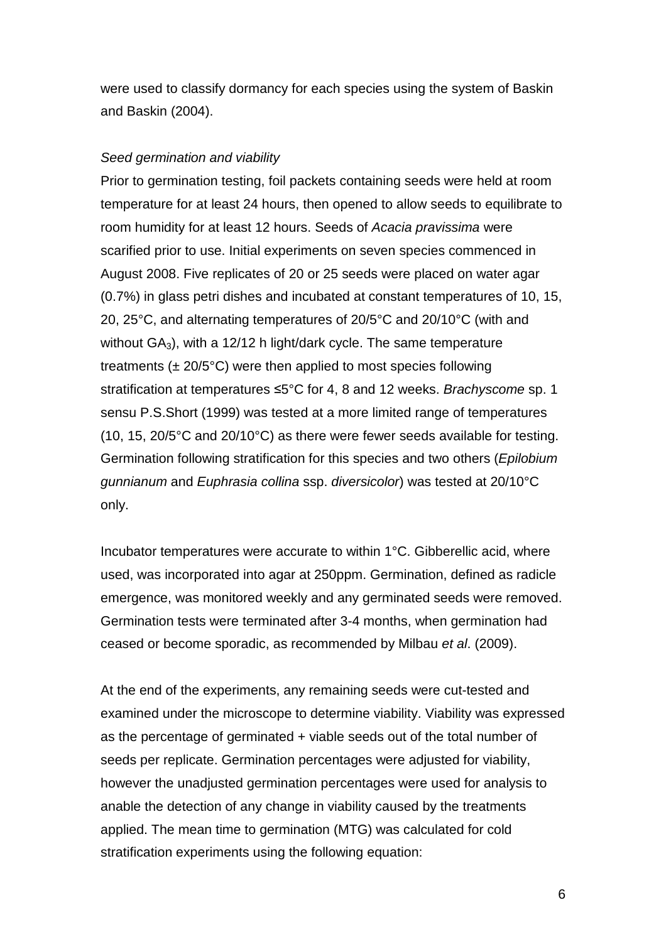were used to classify dormancy for each species using the system of Baskin and Baskin (2004).

#### *Seed germination and viability*

Prior to germination testing, foil packets containing seeds were held at room temperature for at least 24 hours, then opened to allow seeds to equilibrate to room humidity for at least 12 hours. Seeds of *Acacia pravissima* were scarified prior to use. Initial experiments on seven species commenced in August 2008. Five replicates of 20 or 25 seeds were placed on water agar (0.7%) in glass petri dishes and incubated at constant temperatures of 10, 15, 20, 25°C, and alternating temperatures of 20/5°C and 20/10°C (with and without  $GA_3$ ), with a 12/12 h light/dark cycle. The same temperature treatments  $(\pm 20/5^{\circ}C)$  were then applied to most species following stratification at temperatures ≤5°C for 4, 8 and 12 weeks. *Brachyscome* sp. 1 sensu P.S.Short (1999) was tested at a more limited range of temperatures (10, 15, 20/5°C and 20/10°C) as there were fewer seeds available for testing. Germination following stratification for this species and two others (*Epilobium gunnianum* and *Euphrasia collina* ssp. *diversicolor*) was tested at 20/10°C only.

Incubator temperatures were accurate to within 1°C. Gibberellic acid, where used, was incorporated into agar at 250ppm. Germination, defined as radicle emergence, was monitored weekly and any germinated seeds were removed. Germination tests were terminated after 3-4 months, when germination had ceased or become sporadic, as recommended by Milbau *et al*. (2009).

At the end of the experiments, any remaining seeds were cut-tested and examined under the microscope to determine viability. Viability was expressed as the percentage of germinated + viable seeds out of the total number of seeds per replicate. Germination percentages were adjusted for viability, however the unadjusted germination percentages were used for analysis to anable the detection of any change in viability caused by the treatments applied. The mean time to germination (MTG) was calculated for cold stratification experiments using the following equation: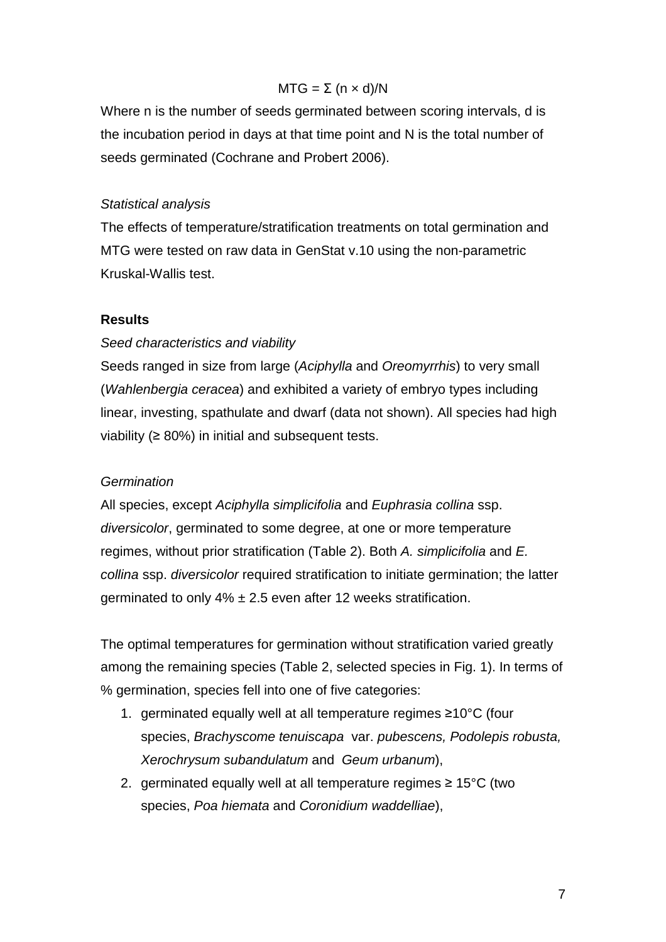### $MTG = \Sigma (n \times d)/N$

Where n is the number of seeds germinated between scoring intervals, d is the incubation period in days at that time point and N is the total number of seeds germinated (Cochrane and Probert 2006).

#### *Statistical analysis*

The effects of temperature/stratification treatments on total germination and MTG were tested on raw data in GenStat v.10 using the non-parametric Kruskal-Wallis test.

### **Results**

### *Seed characteristics and viability*

Seeds ranged in size from large (*Aciphylla* and *Oreomyrrhis*) to very small (*Wahlenbergia ceracea*) and exhibited a variety of embryo types including linear, investing, spathulate and dwarf (data not shown). All species had high viability  $(≥ 80%)$  in initial and subsequent tests.

#### *Germination*

All species, except *Aciphylla simplicifolia* and *Euphrasia collina* ssp. *diversicolor*, germinated to some degree, at one or more temperature regimes, without prior stratification (Table 2). Both *A. simplicifolia* and *E. collina* ssp. *diversicolor* required stratification to initiate germination; the latter germinated to only 4% ± 2.5 even after 12 weeks stratification.

The optimal temperatures for germination without stratification varied greatly among the remaining species (Table 2, selected species in Fig. 1). In terms of % germination, species fell into one of five categories:

- 1. germinated equally well at all temperature regimes ≥10°C (four species, *Brachyscome tenuiscapa* var. *pubescens, Podolepis robusta, Xerochrysum subandulatum* and *Geum urbanum*),
- 2. germinated equally well at all temperature regimes ≥ 15 $\mathrm{°C}$  (two species, *Poa hiemata* and *Coronidium waddelliae*),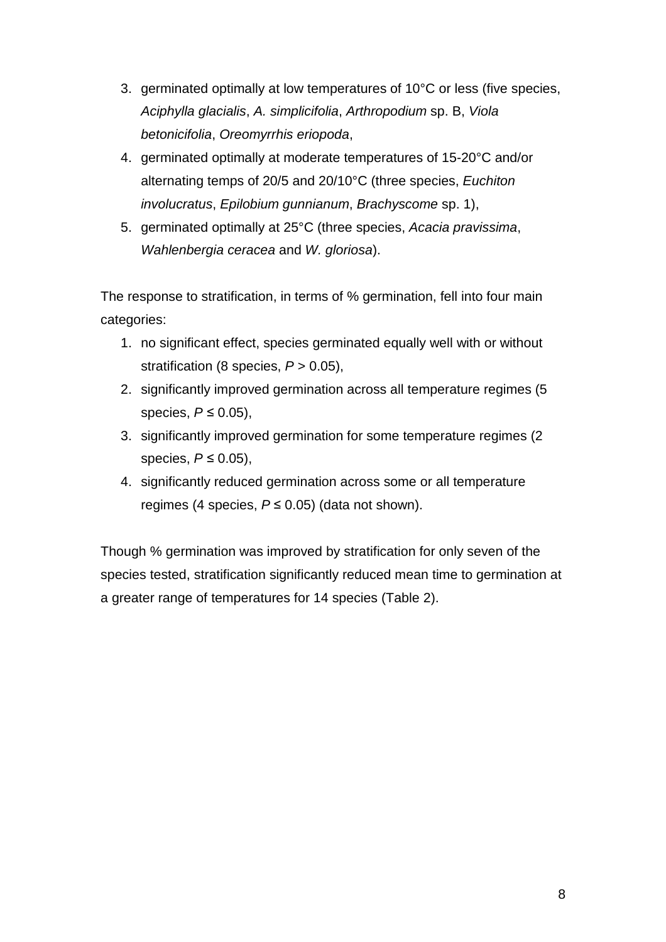- 3. germinated optimally at low temperatures of 10°C or less (five species, *Aciphylla glacialis*, *A. simplicifolia*, *Arthropodium* sp. B, *Viola betonicifolia*, *Oreomyrrhis eriopoda*,
- 4. germinated optimally at moderate temperatures of 15-20°C and/or alternating temps of 20/5 and 20/10°C (three species, *Euchiton involucratus*, *Epilobium gunnianum*, *Brachyscome* sp. 1),
- 5. germinated optimally at 25°C (three species, *Acacia pravissima*, *Wahlenbergia ceracea* and *W. gloriosa*).

The response to stratification, in terms of % germination, fell into four main categories:

- 1. no significant effect, species germinated equally well with or without stratification (8 species, *P* > 0.05),
- 2. significantly improved germination across all temperature regimes (5 species, *P* ≤ 0.05),
- 3. significantly improved germination for some temperature regimes (2 species, *P* ≤ 0.05),
- 4. significantly reduced germination across some or all temperature regimes (4 species, *P* ≤ 0.05) (data not shown).

Though % germination was improved by stratification for only seven of the species tested, stratification significantly reduced mean time to germination at a greater range of temperatures for 14 species (Table 2).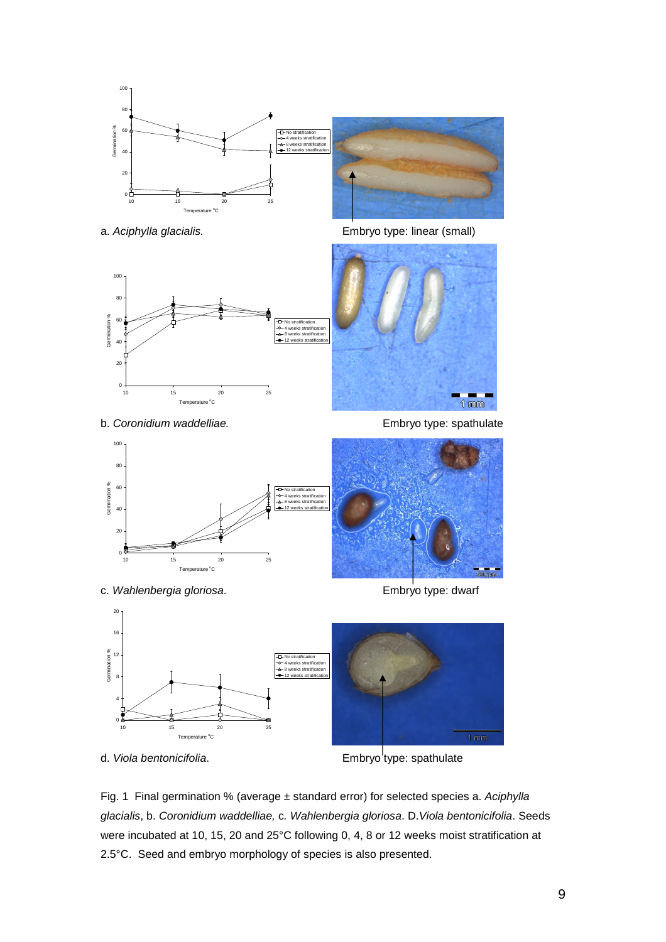



b. *Coronidium waddelliae.* The setting of the setting of the setting of the setting of the setting of the setting of the setting of the setting of the setting of the setting of the setting of the setting of the setting of

a. *Aciphylla glacialis.* Embryo type: linear (small)





c. *Wahlenbergia gloriosa*. Embryo type: dwarf

 $\alpha$ 



d. *Viola bentonicifolia*. **Embryo** type: spathulate

Fig. 1 Final germination % (average ± standard error) for selected species a. *Aciphylla glacialis*, b. *Coronidium waddelliae,* c*. Wahlenbergia gloriosa*. D.*Viola bentonicifolia*. Seeds were incubated at 10, 15, 20 and 25°C following 0, 4, 8 or 12 weeks moist stratification at 2.5°C. Seed and embryo morphology of species is also presented.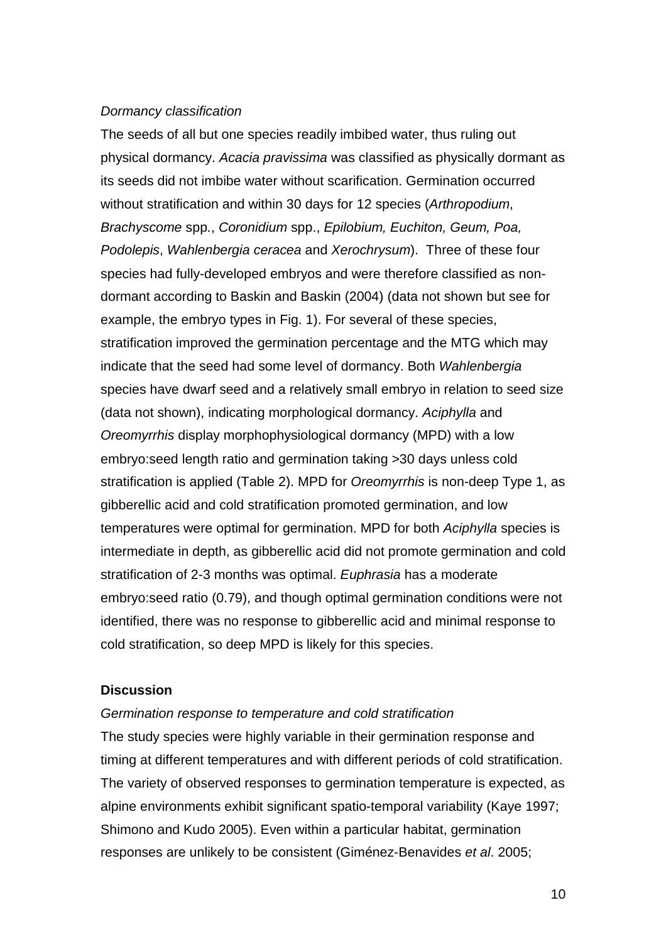#### *Dormancy classification*

The seeds of all but one species readily imbibed water, thus ruling out physical dormancy. *Acacia pravissima* was classified as physically dormant as its seeds did not imbibe water without scarification. Germination occurred without stratification and within 30 days for 12 species (*Arthropodium*, *Brachyscome* spp*.*, *Coronidium* spp., *Epilobium, Euchiton, Geum, Poa, Podolepis*, *Wahlenbergia ceracea* and *Xerochrysum*). Three of these four species had fully-developed embryos and were therefore classified as nondormant according to Baskin and Baskin (2004) (data not shown but see for example, the embryo types in Fig. 1). For several of these species, stratification improved the germination percentage and the MTG which may indicate that the seed had some level of dormancy. Both *Wahlenbergia* species have dwarf seed and a relatively small embryo in relation to seed size (data not shown), indicating morphological dormancy. *Aciphylla* and *Oreomyrrhis* display morphophysiological dormancy (MPD) with a low embryo:seed length ratio and germination taking >30 days unless cold stratification is applied (Table 2). MPD for *Oreomyrrhis* is non-deep Type 1, as gibberellic acid and cold stratification promoted germination, and low temperatures were optimal for germination. MPD for both *Aciphylla* species is intermediate in depth, as gibberellic acid did not promote germination and cold stratification of 2-3 months was optimal. *Euphrasia* has a moderate embryo:seed ratio (0.79), and though optimal germination conditions were not identified, there was no response to gibberellic acid and minimal response to cold stratification, so deep MPD is likely for this species.

## **Discussion**

#### *Germination response to temperature and cold stratification*

The study species were highly variable in their germination response and timing at different temperatures and with different periods of cold stratification. The variety of observed responses to germination temperature is expected, as alpine environments exhibit significant spatio-temporal variability (Kaye 1997; Shimono and Kudo 2005). Even within a particular habitat, germination responses are unlikely to be consistent (Giménez-Benavides *et al*. 2005;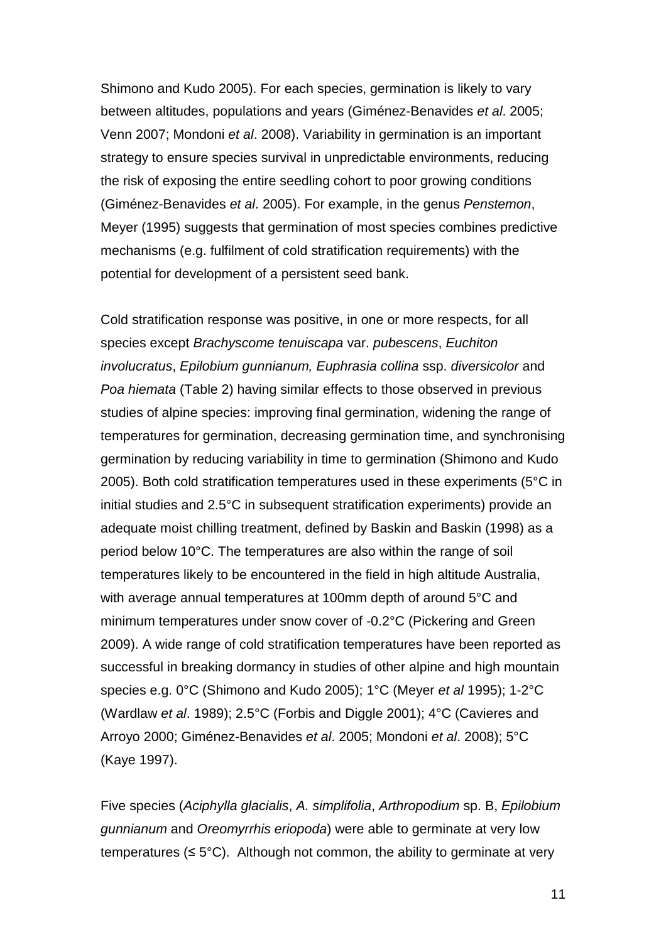Shimono and Kudo 2005). For each species, germination is likely to vary between altitudes, populations and years (Giménez-Benavides *et al*. 2005; Venn 2007; Mondoni *et al*. 2008). Variability in germination is an important strategy to ensure species survival in unpredictable environments, reducing the risk of exposing the entire seedling cohort to poor growing conditions (Giménez-Benavides *et al*. 2005). For example, in the genus *Penstemon*, Meyer (1995) suggests that germination of most species combines predictive mechanisms (e.g. fulfilment of cold stratification requirements) with the potential for development of a persistent seed bank.

Cold stratification response was positive, in one or more respects, for all species except *Brachyscome tenuiscapa* var. *pubescens*, *Euchiton involucratus*, *Epilobium gunnianum, Euphrasia collina* ssp. *diversicolor* and *Poa hiemata* (Table 2) having similar effects to those observed in previous studies of alpine species: improving final germination, widening the range of temperatures for germination, decreasing germination time, and synchronising germination by reducing variability in time to germination (Shimono and Kudo 2005). Both cold stratification temperatures used in these experiments (5°C in initial studies and 2.5°C in subsequent stratification experiments) provide an adequate moist chilling treatment, defined by Baskin and Baskin (1998) as a period below 10°C. The temperatures are also within the range of soil temperatures likely to be encountered in the field in high altitude Australia, with average annual temperatures at 100mm depth of around 5°C and minimum temperatures under snow cover of -0.2°C (Pickering and Green 2009). A wide range of cold stratification temperatures have been reported as successful in breaking dormancy in studies of other alpine and high mountain species e.g. 0°C (Shimono and Kudo 2005); 1°C (Meyer *et al* 1995); 1-2°C (Wardlaw *et al*. 1989); 2.5°C (Forbis and Diggle 2001); 4°C (Cavieres and Arroyo 2000; Giménez-Benavides *et al*. 2005; Mondoni *et al*. 2008); 5°C (Kaye 1997).

Five species (*Aciphylla glacialis*, *A. simplifolia*, *Arthropodium* sp. B, *Epilobium gunnianum* and *Oreomyrrhis eriopoda*) were able to germinate at very low temperatures ( $\leq 5^{\circ}$ C). Although not common, the ability to germinate at very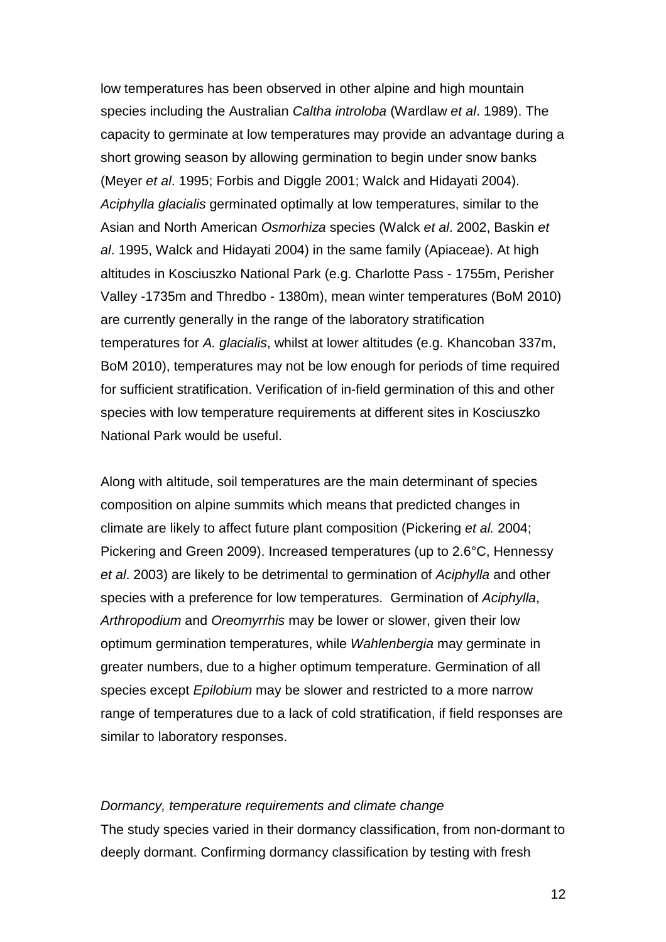low temperatures has been observed in other alpine and high mountain species including the Australian *Caltha introloba* (Wardlaw *et al*. 1989). The capacity to germinate at low temperatures may provide an advantage during a short growing season by allowing germination to begin under snow banks (Meyer *et al*. 1995; Forbis and Diggle 2001; Walck and Hidayati 2004). *Aciphylla glacialis* germinated optimally at low temperatures, similar to the Asian and North American *Osmorhiza* species (Walck *et al*. 2002, Baskin *et al*. 1995, Walck and Hidayati 2004) in the same family (Apiaceae). At high altitudes in Kosciuszko National Park (e.g. Charlotte Pass - 1755m, Perisher Valley -1735m and Thredbo - 1380m), mean winter temperatures (BoM 2010) are currently generally in the range of the laboratory stratification temperatures for *A. glacialis*, whilst at lower altitudes (e.g. Khancoban 337m, BoM 2010), temperatures may not be low enough for periods of time required for sufficient stratification. Verification of in-field germination of this and other species with low temperature requirements at different sites in Kosciuszko National Park would be useful.

Along with altitude, soil temperatures are the main determinant of species composition on alpine summits which means that predicted changes in climate are likely to affect future plant composition (Pickering *et al.* 2004; Pickering and Green 2009). Increased temperatures (up to 2.6°C, Hennessy *et al*. 2003) are likely to be detrimental to germination of *Aciphylla* and other species with a preference for low temperatures. Germination of *Aciphylla*, *Arthropodium* and *Oreomyrrhis* may be lower or slower, given their low optimum germination temperatures, while *Wahlenbergia* may germinate in greater numbers, due to a higher optimum temperature. Germination of all species except *Epilobium* may be slower and restricted to a more narrow range of temperatures due to a lack of cold stratification, if field responses are similar to laboratory responses.

#### *Dormancy, temperature requirements and climate change*

The study species varied in their dormancy classification, from non-dormant to deeply dormant. Confirming dormancy classification by testing with fresh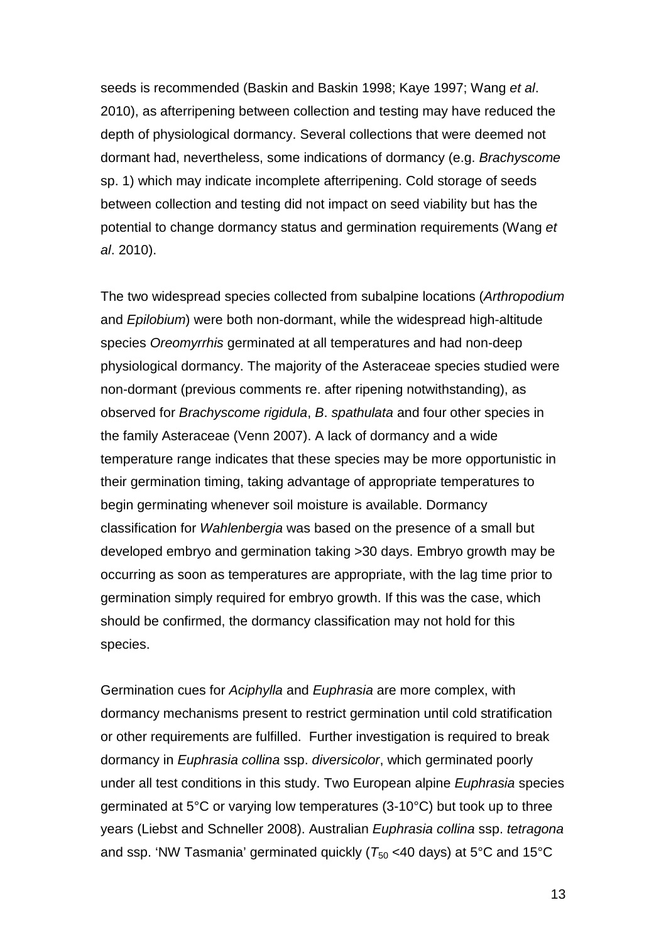seeds is recommended (Baskin and Baskin 1998; Kaye 1997; Wang *et al*. 2010), as afterripening between collection and testing may have reduced the depth of physiological dormancy. Several collections that were deemed not dormant had, nevertheless, some indications of dormancy (e.g. *Brachyscome* sp. 1) which may indicate incomplete afterripening. Cold storage of seeds between collection and testing did not impact on seed viability but has the potential to change dormancy status and germination requirements (Wang *et al*. 2010).

The two widespread species collected from subalpine locations (*Arthropodium* and *Epilobium*) were both non-dormant, while the widespread high-altitude species *Oreomyrrhis* germinated at all temperatures and had non-deep physiological dormancy. The majority of the Asteraceae species studied were non-dormant (previous comments re. after ripening notwithstanding), as observed for *Brachyscome rigidula*, *B*. *spathulata* and four other species in the family Asteraceae (Venn 2007). A lack of dormancy and a wide temperature range indicates that these species may be more opportunistic in their germination timing, taking advantage of appropriate temperatures to begin germinating whenever soil moisture is available. Dormancy classification for *Wahlenbergia* was based on the presence of a small but developed embryo and germination taking >30 days. Embryo growth may be occurring as soon as temperatures are appropriate, with the lag time prior to germination simply required for embryo growth. If this was the case, which should be confirmed, the dormancy classification may not hold for this species.

Germination cues for *Aciphylla* and *Euphrasia* are more complex, with dormancy mechanisms present to restrict germination until cold stratification or other requirements are fulfilled. Further investigation is required to break dormancy in *Euphrasia collina* ssp. *diversicolor*, which germinated poorly under all test conditions in this study. Two European alpine *Euphrasia* species germinated at 5°C or varying low temperatures (3-10°C) but took up to three years (Liebst and Schneller 2008). Australian *Euphrasia collina* ssp. *tetragona* and ssp. 'NW Tasmania' germinated quickly ( $T_{50}$  <40 days) at 5<sup>o</sup>C and 15<sup>o</sup>C

13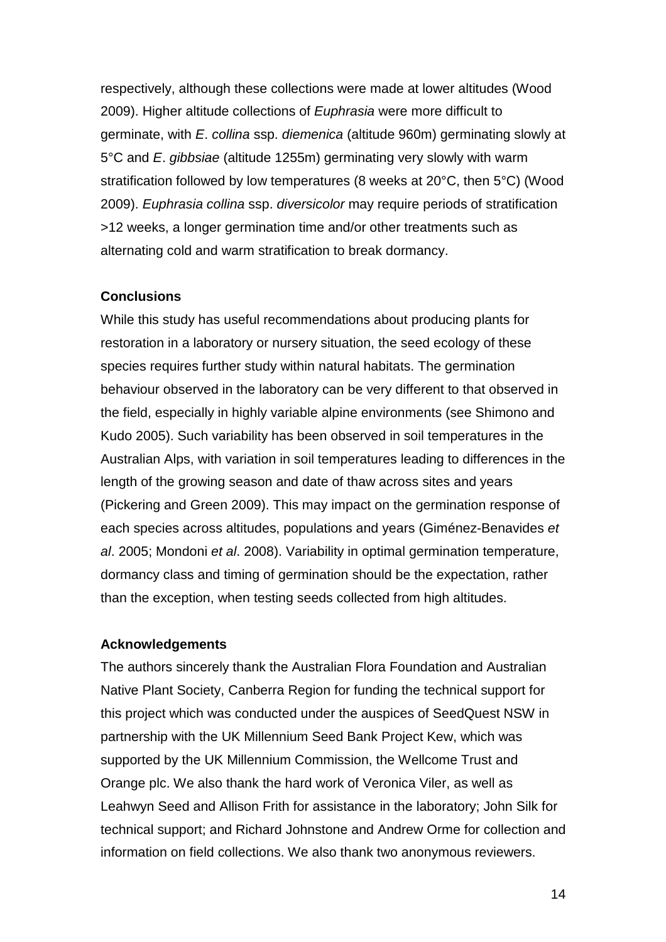respectively, although these collections were made at lower altitudes (Wood 2009). Higher altitude collections of *Euphrasia* were more difficult to germinate, with *E*. *collina* ssp. *diemenica* (altitude 960m) germinating slowly at 5°C and *E*. *gibbsiae* (altitude 1255m) germinating very slowly with warm stratification followed by low temperatures (8 weeks at 20°C, then 5°C) (Wood 2009). *Euphrasia collina* ssp. *diversicolor* may require periods of stratification >12 weeks, a longer germination time and/or other treatments such as alternating cold and warm stratification to break dormancy.

## **Conclusions**

While this study has useful recommendations about producing plants for restoration in a laboratory or nursery situation, the seed ecology of these species requires further study within natural habitats. The germination behaviour observed in the laboratory can be very different to that observed in the field, especially in highly variable alpine environments (see Shimono and Kudo 2005). Such variability has been observed in soil temperatures in the Australian Alps, with variation in soil temperatures leading to differences in the length of the growing season and date of thaw across sites and years (Pickering and Green 2009). This may impact on the germination response of each species across altitudes, populations and years (Giménez-Benavides *et al*. 2005; Mondoni *et al*. 2008). Variability in optimal germination temperature, dormancy class and timing of germination should be the expectation, rather than the exception, when testing seeds collected from high altitudes.

#### **Acknowledgements**

The authors sincerely thank the Australian Flora Foundation and Australian Native Plant Society, Canberra Region for funding the technical support for this project which was conducted under the auspices of SeedQuest NSW in partnership with the UK Millennium Seed Bank Project Kew, which was supported by the UK Millennium Commission, the Wellcome Trust and Orange plc. We also thank the hard work of Veronica Viler, as well as Leahwyn Seed and Allison Frith for assistance in the laboratory; John Silk for technical support; and Richard Johnstone and Andrew Orme for collection and information on field collections. We also thank two anonymous reviewers.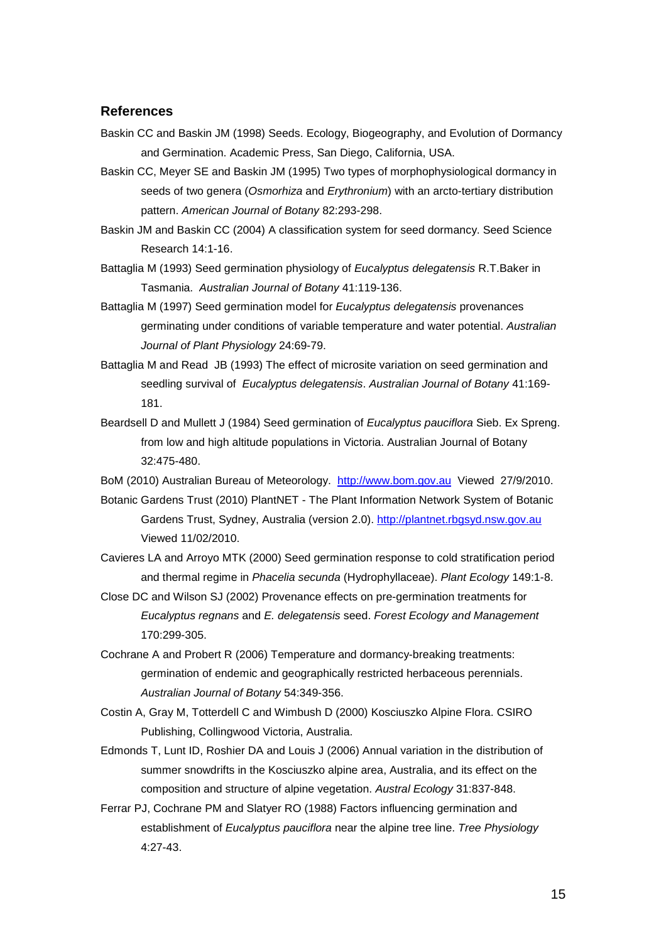#### **References**

- Baskin CC and Baskin JM (1998) Seeds. Ecology, Biogeography, and Evolution of Dormancy and Germination. Academic Press, San Diego, California, USA.
- Baskin CC, Meyer SE and Baskin JM (1995) Two types of morphophysiological dormancy in seeds of two genera (*Osmorhiza* and *Erythronium*) with an arcto-tertiary distribution pattern. *American Journal of Botany* 82:293-298.
- Baskin JM and Baskin CC (2004) A classification system for seed dormancy. Seed Science Research 14:1-16.
- Battaglia M (1993) Seed germination physiology of *Eucalyptus delegatensis* R.T.Baker in Tasmania. *Australian Journal of Botany* 41:119-136.
- Battaglia M (1997) Seed germination model for *Eucalyptus delegatensis* provenances germinating under conditions of variable temperature and water potential. *Australian Journal of Plant Physiology* 24:69-79.
- Battaglia M and Read JB (1993) The effect of microsite variation on seed germination and seedling survival of *Eucalyptus delegatensis*. *Australian Journal of Botany* 41:169- 181.
- Beardsell D and Mullett J (1984) Seed germination of *Eucalyptus pauciflora* Sieb. Ex Spreng. from low and high altitude populations in Victoria. Australian Journal of Botany 32:475-480.

BoM (2010) Australian Bureau of Meteorology. [http://www.bom.gov.au](http://www.bom.gov.au/) Viewed 27/9/2010.

- Botanic Gardens Trust (2010) PlantNET The Plant Information Network System of Botanic Gardens Trust, Sydney, Australia (version 2.0). [http://plantnet.rbgsyd.nsw.gov.au](http://plantnet.rbgsyd.nsw.gov.au/) Viewed 11/02/2010.
- Cavieres LA and Arroyo MTK (2000) Seed germination response to cold stratification period and thermal regime in *Phacelia secunda* (Hydrophyllaceae). *Plant Ecology* 149:1-8.
- Close DC and Wilson SJ (2002) Provenance effects on pre-germination treatments for *Eucalyptus regnans* and *E. delegatensis* seed. *Forest Ecology and Management* 170:299-305.
- Cochrane A and Probert R (2006) Temperature and dormancy-breaking treatments: germination of endemic and geographically restricted herbaceous perennials. *Australian Journal of Botany* 54:349-356.
- Costin A, Gray M, Totterdell C and Wimbush D (2000) Kosciuszko Alpine Flora. CSIRO Publishing, Collingwood Victoria, Australia.
- Edmonds T, Lunt ID, Roshier DA and Louis J (2006) Annual variation in the distribution of summer snowdrifts in the Kosciuszko alpine area, Australia, and its effect on the composition and structure of alpine vegetation. *Austral Ecology* 31:837-848.
- Ferrar PJ, Cochrane PM and Slatyer RO (1988) Factors influencing germination and establishment of *Eucalyptus pauciflora* near the alpine tree line. *Tree Physiology* 4:27-43.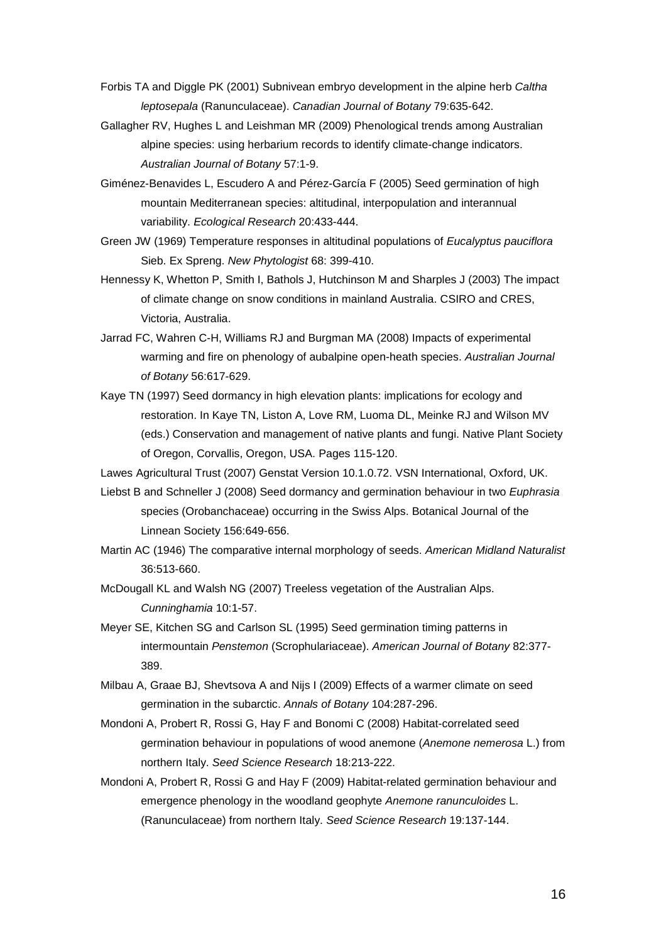- Forbis TA and Diggle PK (2001) Subnivean embryo development in the alpine herb *Caltha leptosepala* (Ranunculaceae). *Canadian Journal of Botany* 79:635-642.
- Gallagher RV, Hughes L and Leishman MR (2009) Phenological trends among Australian alpine species: using herbarium records to identify climate-change indicators. *Australian Journal of Botany* 57:1-9.
- Giménez-Benavides L, Escudero A and Pérez-García F (2005) Seed germination of high mountain Mediterranean species: altitudinal, interpopulation and interannual variability. *Ecological Research* 20:433-444.
- Green JW (1969) Temperature responses in altitudinal populations of *Eucalyptus pauciflora* Sieb. Ex Spreng. *New Phytologist* 68: 399-410.
- Hennessy K, Whetton P, Smith I, Bathols J, Hutchinson M and Sharples J (2003) The impact of climate change on snow conditions in mainland Australia. CSIRO and CRES, Victoria, Australia.
- Jarrad FC, Wahren C-H, Williams RJ and Burgman MA (2008) Impacts of experimental warming and fire on phenology of aubalpine open-heath species. *Australian Journal of Botany* 56:617-629.
- Kaye TN (1997) Seed dormancy in high elevation plants: implications for ecology and restoration. In Kaye TN, Liston A, Love RM, Luoma DL, Meinke RJ and Wilson MV (eds.) Conservation and management of native plants and fungi. Native Plant Society of Oregon, Corvallis, Oregon, USA. Pages 115-120.

Lawes Agricultural Trust (2007) Genstat Version 10.1.0.72. VSN International, Oxford, UK.

- Liebst B and Schneller J (2008) Seed dormancy and germination behaviour in two *Euphrasia* species (Orobanchaceae) occurring in the Swiss Alps. Botanical Journal of the Linnean Society 156:649-656.
- Martin AC (1946) The comparative internal morphology of seeds. *American Midland Naturalist* 36:513-660.
- McDougall KL and Walsh NG (2007) Treeless vegetation of the Australian Alps. *Cunninghamia* 10:1-57.
- Meyer SE, Kitchen SG and Carlson SL (1995) Seed germination timing patterns in intermountain *Penstemon* (Scrophulariaceae). *American Journal of Botany* 82:377- 389.
- Milbau A, Graae BJ, Shevtsova A and Nijs I (2009) Effects of a warmer climate on seed germination in the subarctic. *Annals of Botany* 104:287-296.
- Mondoni A, Probert R, Rossi G, Hay F and Bonomi C (2008) Habitat-correlated seed germination behaviour in populations of wood anemone (*Anemone nemerosa* L.) from northern Italy. *Seed Science Research* 18:213-222.
- Mondoni A, Probert R, Rossi G and Hay F (2009) Habitat-related germination behaviour and emergence phenology in the woodland geophyte *Anemone ranunculoides* L. (Ranunculaceae) from northern Italy. *Seed Science Research* 19:137-144.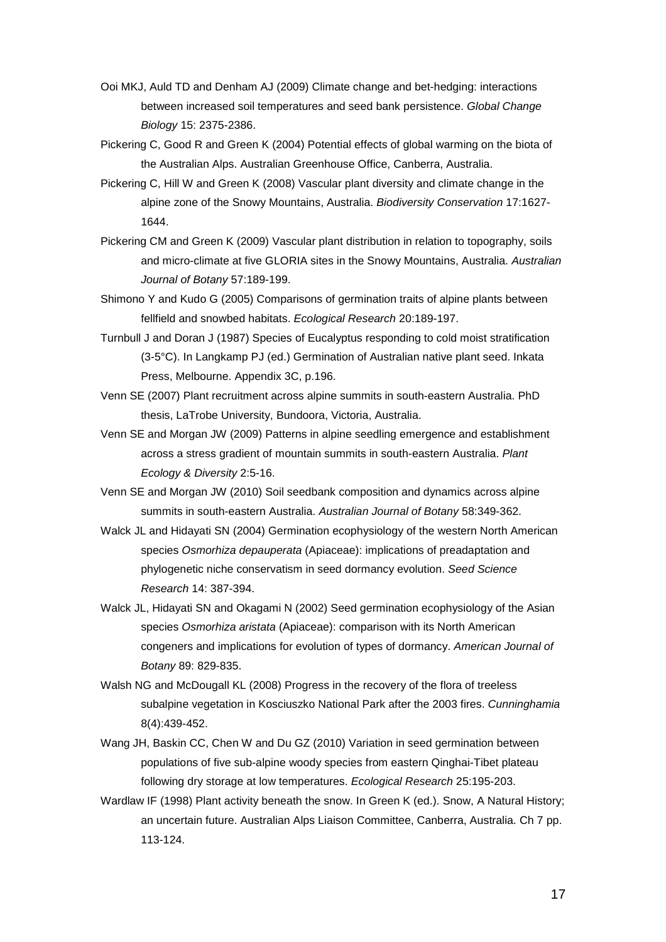- Ooi MKJ, Auld TD and Denham AJ (2009) Climate change and bet-hedging: interactions between increased soil temperatures and seed bank persistence. *Global Change Biology* 15: 2375-2386.
- Pickering C, Good R and Green K (2004) Potential effects of global warming on the biota of the Australian Alps. Australian Greenhouse Office, Canberra, Australia.
- Pickering C, Hill W and Green K (2008) Vascular plant diversity and climate change in the alpine zone of the Snowy Mountains, Australia. *Biodiversity Conservation* 17:1627- 1644.
- Pickering CM and Green K (2009) Vascular plant distribution in relation to topography, soils and micro-climate at five GLORIA sites in the Snowy Mountains, Australia. *Australian Journal of Botany* 57:189-199.
- Shimono Y and Kudo G (2005) Comparisons of germination traits of alpine plants between fellfield and snowbed habitats. *Ecological Research* 20:189-197.
- Turnbull J and Doran J (1987) Species of Eucalyptus responding to cold moist stratification (3-5°C). In Langkamp PJ (ed.) Germination of Australian native plant seed. Inkata Press, Melbourne. Appendix 3C, p.196.
- Venn SE (2007) Plant recruitment across alpine summits in south-eastern Australia. PhD thesis, LaTrobe University, Bundoora, Victoria, Australia.
- Venn SE and Morgan JW (2009) Patterns in alpine seedling emergence and establishment across a stress gradient of mountain summits in south-eastern Australia. *Plant Ecology & Diversity* 2:5-16.
- Venn SE and Morgan JW (2010) Soil seedbank composition and dynamics across alpine summits in south-eastern Australia. *Australian Journal of Botany* 58:349-362.
- Walck JL and Hidayati SN (2004) Germination ecophysiology of the western North American species *Osmorhiza depauperata* (Apiaceae): implications of preadaptation and phylogenetic niche conservatism in seed dormancy evolution. *Seed Science Research* 14: 387-394.
- Walck JL, Hidayati SN and Okagami N (2002) Seed germination ecophysiology of the Asian species *Osmorhiza aristata* (Apiaceae): comparison with its North American congeners and implications for evolution of types of dormancy. *American Journal of Botany* 89: 829-835.
- Walsh NG and McDougall KL (2008) Progress in the recovery of the flora of treeless subalpine vegetation in Kosciuszko National Park after the 2003 fires. *Cunninghamia* 8(4):439-452.
- Wang JH, Baskin CC, Chen W and Du GZ (2010) Variation in seed germination between populations of five sub-alpine woody species from eastern Qinghai-Tibet plateau following dry storage at low temperatures. *Ecological Research* 25:195-203.
- Wardlaw IF (1998) Plant activity beneath the snow. In Green K (ed.). Snow, A Natural History; an uncertain future. Australian Alps Liaison Committee, Canberra, Australia. Ch 7 pp. 113-124.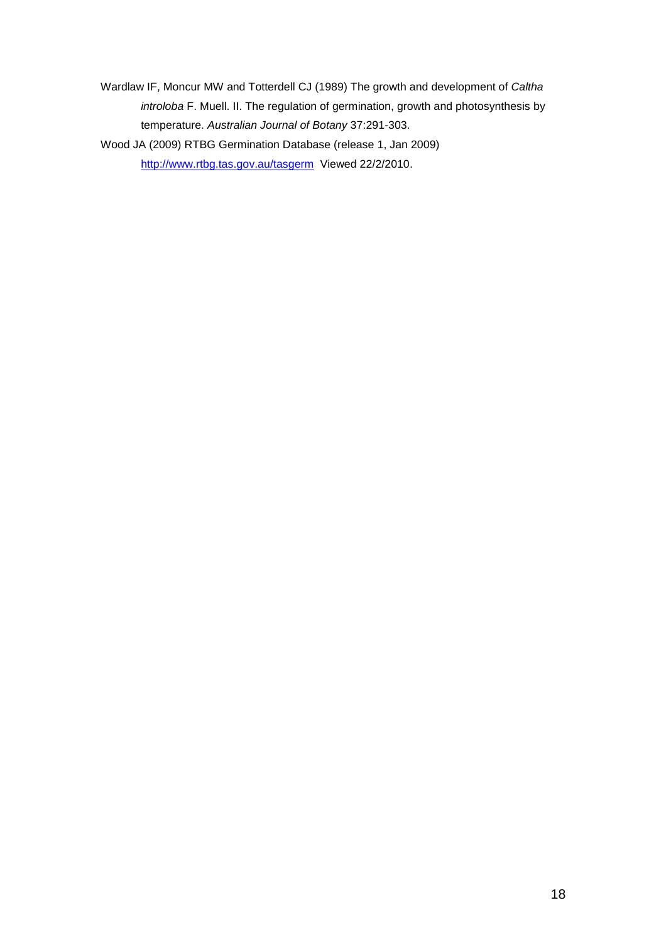Wardlaw IF, Moncur MW and Totterdell CJ (1989) The growth and development of *Caltha introloba* F. Muell. II. The regulation of germination, growth and photosynthesis by temperature. *Australian Journal of Botany* 37:291-303.

Wood JA (2009) RTBG Germination Database (release 1, Jan 2009) <http://www.rtbg.tas.gov.au/tasgerm> Viewed 22/2/2010.